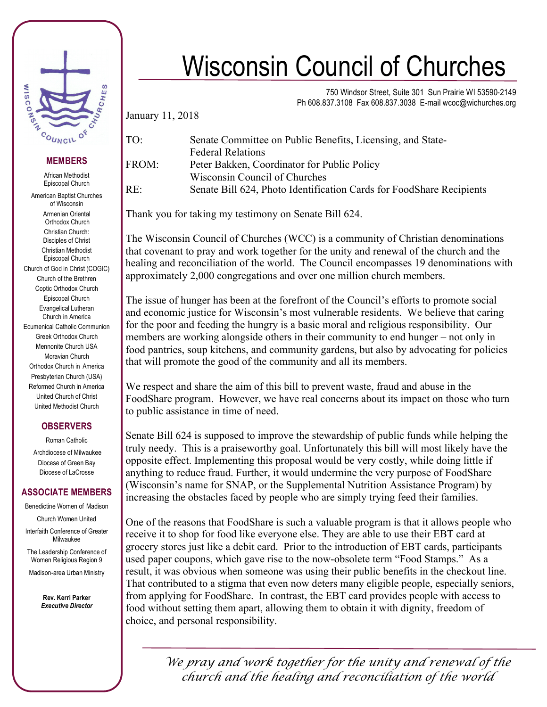

## **MEMBERS**

African Methodist Episcopal Church

American Baptist Churches of Wisconsin Armenian Oriental Orthodox Church Christian Church: Disciples of Christ Christian Methodist Episcopal Church Church of God in Christ (COGIC) Church of the Brethren Coptic Orthodox Church Episcopal Church Evangelical Lutheran Church in America Ecumenical Catholic Communion Greek Orthodox Church Mennonite Church USA Moravian Church Orthodox Church in America Presbyterian Church (USA) Reformed Church in America United Church of Christ United Methodist Church

## **OBSERVERS**

Roman Catholic Archdiocese of Milwaukee Diocese of Green Bay Diocese of LaCrosse

## **ASSOCIATE MEMBERS**

Benedictine Women of Madison Church Women United Interfaith Conference of Greater Milwaukee

The Leadership Conference of Women Religious Region 9

Madison-area Urban Ministry

**Rev. Kerri Parker** *Executive Director*

## Wisconsin Council of Churches

750 Windsor Street, Suite 301 Sun Prairie WI 53590-2149 Ph 608.837.3108 Fax 608.837.3038 E-mail wcoc@wichurches.org

January 11, 2018

| TO:   | Senate Committee on Public Benefits, Licensing, and State-           |
|-------|----------------------------------------------------------------------|
|       | <b>Federal Relations</b>                                             |
| FROM: | Peter Bakken, Coordinator for Public Policy                          |
|       | Wisconsin Council of Churches                                        |
| RE∙   | Senate Bill 624, Photo Identification Cards for FoodShare Recipients |

Thank you for taking my testimony on Senate Bill 624.

The Wisconsin Council of Churches (WCC) is a community of Christian denominations that covenant to pray and work together for the unity and renewal of the church and the healing and reconciliation of the world. The Council encompasses 19 denominations with approximately 2,000 congregations and over one million church members.

The issue of hunger has been at the forefront of the Council's efforts to promote social and economic justice for Wisconsin's most vulnerable residents. We believe that caring for the poor and feeding the hungry is a basic moral and religious responsibility. Our members are working alongside others in their community to end hunger – not only in food pantries, soup kitchens, and community gardens, but also by advocating for policies that will promote the good of the community and all its members.

We respect and share the aim of this bill to prevent waste, fraud and abuse in the FoodShare program. However, we have real concerns about its impact on those who turn to public assistance in time of need.

Senate Bill 624 is supposed to improve the stewardship of public funds while helping the truly needy. This is a praiseworthy goal. Unfortunately this bill will most likely have the opposite effect. Implementing this proposal would be very costly, while doing little if anything to reduce fraud. Further, it would undermine the very purpose of FoodShare (Wisconsin's name for SNAP, or the Supplemental Nutrition Assistance Program) by increasing the obstacles faced by people who are simply trying feed their families.

One of the reasons that FoodShare is such a valuable program is that it allows people who receive it to shop for food like everyone else. They are able to use their EBT card at grocery stores just like a debit card. Prior to the introduction of EBT cards, participants used paper coupons, which gave rise to the now-obsolete term "Food Stamps." As a result, it was obvious when someone was using their public benefits in the checkout line. That contributed to a stigma that even now deters many eligible people, especially seniors, from applying for FoodShare. In contrast, the EBT card provides people with access to food without setting them apart, allowing them to obtain it with dignity, freedom of choice, and personal responsibility.

> *We pray and work together for the unity and renewal of the church and the healing and reconciliation of the world*